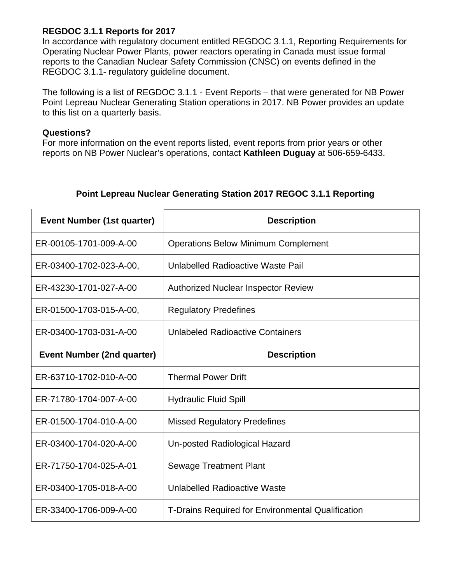## **REGDOC 3.1.1 Reports for 2017**

In accordance with regulatory document entitled REGDOC 3.1.1, Reporting Requirements for Operating Nuclear Power Plants, power reactors operating in Canada must issue formal reports to the Canadian Nuclear Safety Commission (CNSC) on events defined in the REGDOC 3.1.1- regulatory guideline document.

The following is a list of REGDOC 3.1.1 - Event Reports – that were generated for NB Power Point Lepreau Nuclear Generating Station operations in 2017. NB Power provides an update to this list on a quarterly basis.

## **Questions?**

For more information on the event reports listed, event reports from prior years or other reports on NB Power Nuclear's operations, contact **Kathleen Duguay** at 506-659-6433.

| Event Number (1st quarter)        | <b>Description</b>                                |
|-----------------------------------|---------------------------------------------------|
| ER-00105-1701-009-A-00            | <b>Operations Below Minimum Complement</b>        |
| ER-03400-1702-023-A-00,           | Unlabelled Radioactive Waste Pail                 |
| ER-43230-1701-027-A-00            | <b>Authorized Nuclear Inspector Review</b>        |
| ER-01500-1703-015-A-00,           | <b>Regulatory Predefines</b>                      |
| ER-03400-1703-031-A-00            | <b>Unlabeled Radioactive Containers</b>           |
| <b>Event Number (2nd quarter)</b> | <b>Description</b>                                |
| ER-63710-1702-010-A-00            | <b>Thermal Power Drift</b>                        |
| ER-71780-1704-007-A-00            | <b>Hydraulic Fluid Spill</b>                      |
| ER-01500-1704-010-A-00            | <b>Missed Regulatory Predefines</b>               |
| ER-03400-1704-020-A-00            | Un-posted Radiological Hazard                     |
| ER-71750-1704-025-A-01            | <b>Sewage Treatment Plant</b>                     |
| ER-03400-1705-018-A-00            | Unlabelled Radioactive Waste                      |
| ER-33400-1706-009-A-00            | T-Drains Required for Environmental Qualification |

## **Point Lepreau Nuclear Generating Station 2017 REGOC 3.1.1 Reporting**